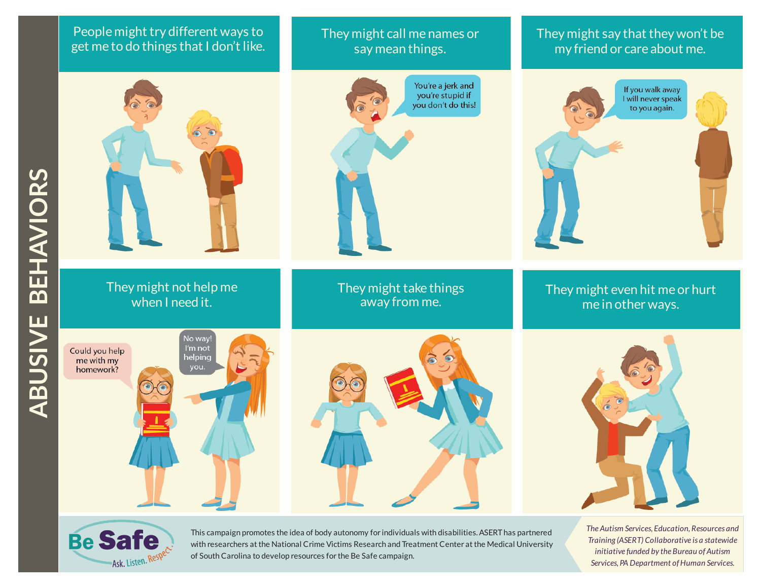## People might try different ways to get me to do things that I don't like.



when I need it.

#### They might call me names or say mean things.



# They might say that they won't be my friend or care about me.



They might even hit me or hurt me in other ways.

**AVIO**

**R**<u>ဟ</u>







*The Autism Services, Education, Resources and Training (ASERT) Collaborative is a statewide initiative funded by the Bureau ofAutism*  $S$ ervices, PA Department of Human Services.



This campaign promotes the idea of body autonomy for individuals with disabilities.ASERThas partnered with researchers at the National Crime Victims Research and Treatment Center at the Medical University of South Carolina to develop resources for the Be Safe campaign.